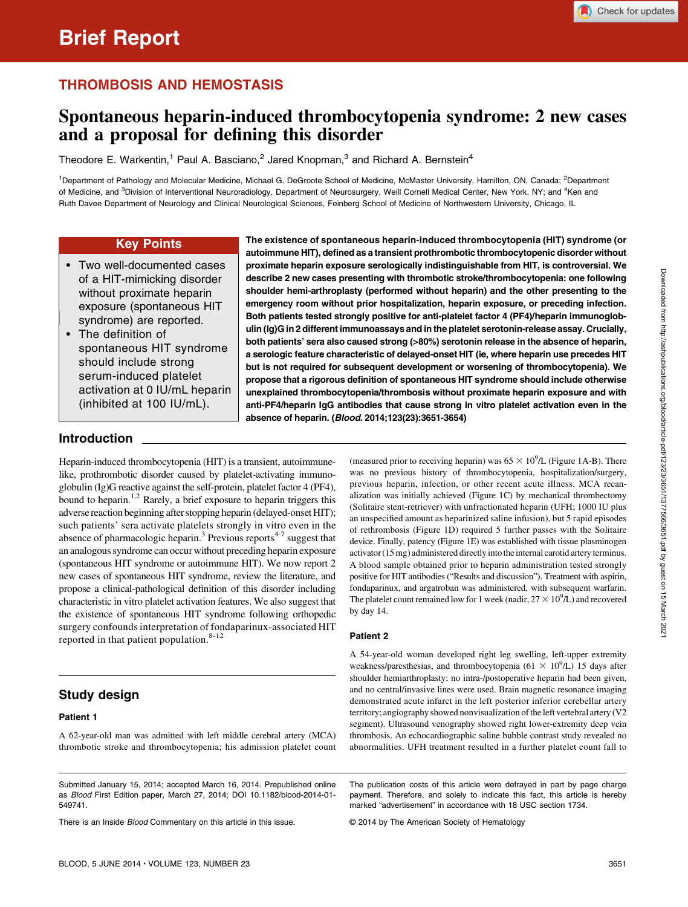## THROMBOSIS AND HEMOSTASIS

# Spontaneous heparin-induced thrombocytopenia syndrome: 2 new cases and a proposal for defining this disorder

Theodore E. Warkentin,<sup>1</sup> Paul A. Basciano,<sup>2</sup> Jared Knopman,<sup>3</sup> and Richard A. Bernstein<sup>4</sup>

<sup>1</sup>Department of Pathology and Molecular Medicine, Michael G. DeGroote School of Medicine, McMaster University, Hamilton, ON, Canada; <sup>2</sup>Department of Medicine, and <sup>3</sup>Division of Interventional Neuroradiology, Department of Neurosurgery, Weill Cornell Medical Center, New York, NY; and <sup>4</sup>Ken and Ruth Davee Department of Neurology and Clinical Neurological Sciences, Feinberg School of Medicine of Northwestern University, Chicago, IL

#### Key Points

- Two well-documented cases of a HIT-mimicking disorder without proximate heparin exposure (spontaneous HIT syndrome) are reported.
- The definition of spontaneous HIT syndrome should include strong serum-induced platelet activation at 0 IU/mL heparin (inhibited at 100 IU/mL).

The existence of spontaneous heparin-induced thrombocytopenia (HIT) syndrome (or autoimmune HIT), defined as a transient prothrombotic thrombocytopenic disorder without proximate heparin exposure serologically indistinguishable from HIT, is controversial. We describe 2 new cases presenting with thrombotic stroke/thrombocytopenia: one following shoulder hemi-arthroplasty (performed without heparin) and the other presenting to the emergency room without prior hospitalization, heparin exposure, or preceding infection. Both patients tested strongly positive for anti-platelet factor 4 (PF4)/heparin immunoglobulin (Ig)G in 2 different immunoassays and in the platelet serotonin-release assay. Crucially, both patients' sera also caused strong (>80%) serotonin release in the absence of heparin, a serologic feature characteristic of delayed-onset HIT (ie, where heparin use precedes HIT but is not required for subsequent development or worsening of thrombocytopenia). We propose that a rigorous definition of spontaneous HIT syndrome should include otherwise unexplained thrombocytopenia/thrombosis without proximate heparin exposure and with anti-PF4/heparin IgG antibodies that cause strong in vitro platelet activation even in the absence of heparin. (Blood. 2014;123(23):3651-3654)

## Introduction

Heparin-induced thrombocytopenia (HIT) is a transient, autoimmunelike, prothrombotic disorder caused by platelet-activating immunoglobulin (Ig)G reactive against the self-protein, platelet factor 4 (PF4), bound to heparin.<sup>1,2</sup> Rarely, a brief exposure to heparin triggers this adverse reaction beginning after stopping heparin (delayed-onset HIT); such patients' sera activate platelets strongly in vitro even in the absence of pharmacologic heparin.<sup>3</sup> Previous reports<sup>4-7</sup> suggest that an analogous syndrome can occur without preceding heparin exposure (spontaneous HIT syndrome or autoimmune HIT). We now report 2 new cases of spontaneous HIT syndrome, review the literature, and propose a clinical-pathological definition of this disorder including characteristic in vitro platelet activation features. We also suggest that the existence of spontaneous HIT syndrome following orthopedic surgery confounds interpretation of fondaparinux-associated HIT reported in that patient population.<sup>8-12</sup>

## Study design

#### Patient 1

A 62-year-old man was admitted with left middle cerebral artery (MCA) thrombotic stroke and thrombocytopenia; his admission platelet count

Submitted January 15, 2014; accepted March 16, 2014. Prepublished online as Blood First Edition paper, March 27, 2014; DOI 10.1182/blood-2014-01- 549741.

There is an Inside **Blood Commentary on this article in this issue.** 

(measured prior to receiving heparin) was  $65 \times 10^9$ /L (Figure 1A-B). There was no previous history of thrombocytopenia, hospitalization/surgery, previous heparin, infection, or other recent acute illness. MCA recanalization was initially achieved (Figure 1C) by mechanical thrombectomy (Solitaire stent-retriever) with unfractionated heparin (UFH; 1000 IU plus an unspecified amount as heparinized saline infusion), but 5 rapid episodes of rethrombosis (Figure 1D) required 5 further passes with the Solitaire device. Finally, patency (Figure 1E) was established with tissue plasminogen activator (15 mg) administered directly into the internal carotid artery terminus. A blood sample obtained prior to heparin administration tested strongly positive for HIT antibodies ("Results and discussion"). Treatment with aspirin, fondaparinux, and argatroban was administered, with subsequent warfarin. The platelet count remained low for 1 week (nadir,  $27 \times 10^9$ /L) and recovered by day 14.

#### Patient 2

A 54-year-old woman developed right leg swelling, left-upper extremity weakness/paresthesias, and thrombocytopenia ( $61 \times 10^9$ /L) 15 days after shoulder hemiarthroplasty; no intra-/postoperative heparin had been given, and no central/invasive lines were used. Brain magnetic resonance imaging demonstrated acute infarct in the left posterior inferior cerebellar artery territory; angiography showed nonvisualization of the left vertebral artery (V2 segment). Ultrasound venography showed right lower-extremity deep vein thrombosis. An echocardiographic saline bubble contrast study revealed no abnormalities. UFH treatment resulted in a further platelet count fall to

The publication costs of this article were defrayed in part by page charge payment. Therefore, and solely to indicate this fact, this article is hereby marked "advertisement" in accordance with 18 USC section 1734.

© 2014 by The American Society of Hematology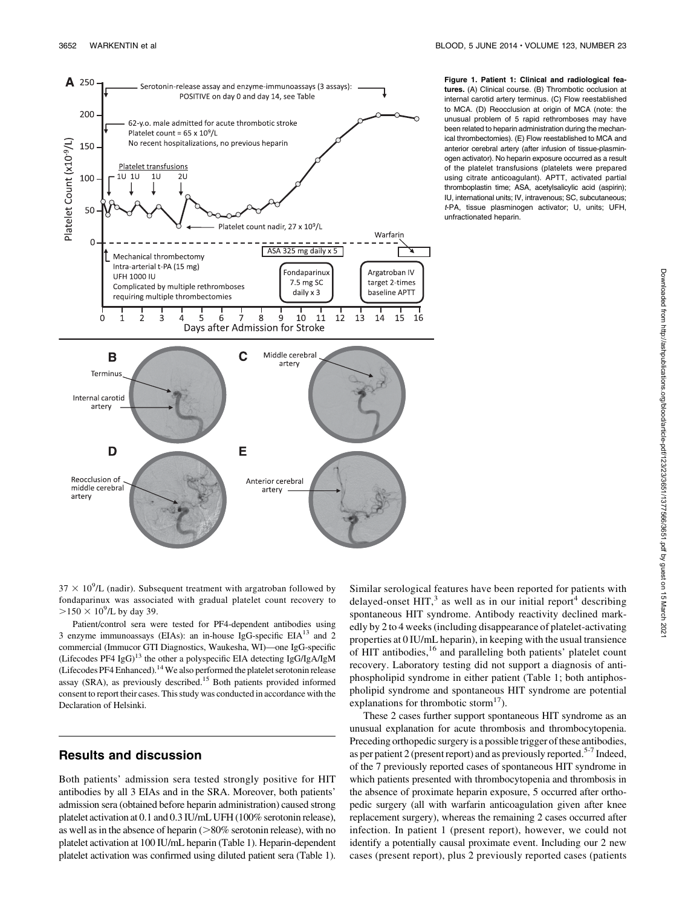

Figure 1. Patient 1: Clinical and radiological features. (A) Clinical course. (B) Thrombotic occlusion at internal carotid artery terminus. (C) Flow reestablished to MCA. (D) Reocclusion at origin of MCA (note: the unusual problem of 5 rapid rethromboses may have been related to heparin administration during the mechanical thrombectomies). (E) Flow reestablished to MCA and anterior cerebral artery (after infusion of tissue-plasminogen activator). No heparin exposure occurred as a result of the platelet transfusions (platelets were prepared using citrate anticoagulant). APTT, activated partial thromboplastin time; ASA, acetylsalicylic acid (aspirin); IU, international units; IV, intravenous; SC, subcutaneous; t-PA, tissue plasminogen activator; U, units; UFH, unfractionated heparin.

 $37 \times 10^9$ /L (nadir). Subsequent treatment with argatroban followed by fondaparinux was associated with gradual platelet count recovery to  $>150 \times 10^9$ /L by day 39.

Patient/control sera were tested for PF4-dependent antibodies using 3 enzyme immunoassays (EIAs): an in-house IgG-specific  $EIA<sup>13</sup>$  and 2 commercial (Immucor GTI Diagnostics, Waukesha, WI)—one IgG-specific (Lifecodes PF4  $IgG$ )<sup>13</sup> the other a polyspecific EIA detecting IgG/IgA/IgM (Lifecodes PF4 Enhanced).14We also performed the platelet serotonin release assay (SRA), as previously described.15 Both patients provided informed consent to report their cases. This study was conducted in accordance with the Declaration of Helsinki.

## Results and discussion

Both patients' admission sera tested strongly positive for HIT antibodies by all 3 EIAs and in the SRA. Moreover, both patients' admission sera (obtained before heparin administration) caused strong platelet activation at 0.1 and 0.3 IU/mL UFH (100% serotonin release), as well as in the absence of heparin  $(>80\%$  serotonin release), with no platelet activation at 100 IU/mL heparin (Table 1). Heparin-dependent platelet activation was confirmed using diluted patient sera (Table 1).

Similar serological features have been reported for patients with delayed-onset HIT,<sup>3</sup> as well as in our initial report<sup>4</sup> describing spontaneous HIT syndrome. Antibody reactivity declined markedly by 2 to 4 weeks (including disappearance of platelet-activating properties at 0 IU/mL heparin), in keeping with the usual transience of HIT antibodies,<sup>16</sup> and paralleling both patients' platelet count recovery. Laboratory testing did not support a diagnosis of antiphospholipid syndrome in either patient (Table 1; both antiphospholipid syndrome and spontaneous HIT syndrome are potential explanations for thrombotic storm $^{17}$ ).

These 2 cases further support spontaneous HIT syndrome as an unusual explanation for acute thrombosis and thrombocytopenia. Preceding orthopedic surgery is a possible trigger of these antibodies, as per patient 2 (present report) and as previously reported.<sup>5-7</sup> Indeed, of the 7 previously reported cases of spontaneous HIT syndrome in which patients presented with thrombocytopenia and thrombosis in the absence of proximate heparin exposure, 5 occurred after orthopedic surgery (all with warfarin anticoagulation given after knee replacement surgery), whereas the remaining 2 cases occurred after infection. In patient 1 (present report), however, we could not identify a potentially causal proximate event. Including our 2 new cases (present report), plus 2 previously reported cases (patients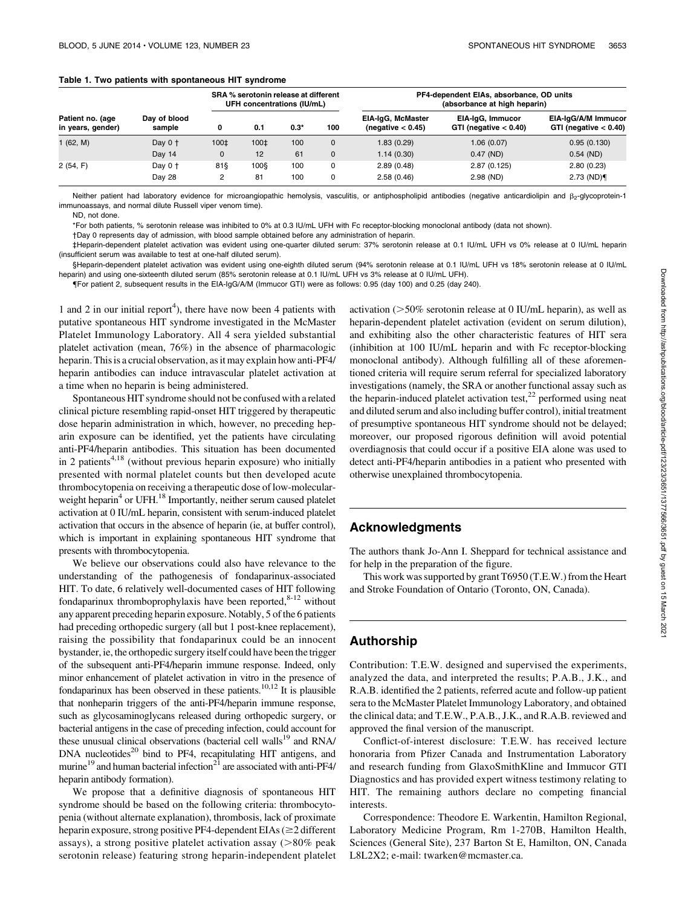#### Table 1. Two patients with spontaneous HIT syndrome

| Patient no. (age<br>in years, gender) | Day of blood<br>sample | SRA % serotonin release at different<br>UFH concentrations (IU/mL) |      |        |              | PF4-dependent EIAs, absorbance, OD units<br>(absorbance at high heparin) |                                              |                                                 |
|---------------------------------------|------------------------|--------------------------------------------------------------------|------|--------|--------------|--------------------------------------------------------------------------|----------------------------------------------|-------------------------------------------------|
|                                       |                        | 0                                                                  | 0.1  | $0.3*$ | 100          | EIA-IqG, McMaster<br>(negative $< 0.45$ )                                | EIA-IgG, Immucor<br>GTI (negative $< 0.40$ ) | EIA-IqG/A/M Immucor<br>GTI (negative $< 0.40$ ) |
| 1(62, M)                              | Day $0 +$              | 100‡                                                               | 100‡ | 100    | $\mathbf{0}$ | 1.83 (0.29)                                                              | 1.06(0.07)                                   | 0.95(0.130)                                     |
|                                       | Day 14                 | 0                                                                  | 12   | 61     | $\mathbf{0}$ | 1.14(0.30)                                                               | $0.47$ (ND)                                  | $0.54$ (ND)                                     |
| 2(54, F)                              | Day $0+$               | 81§                                                                | 100§ | 100    | 0            | 2.89(0.48)                                                               | 2.87(0.125)                                  | 2.80(0.23)                                      |
|                                       | Day 28                 | 2                                                                  | 81   | 100    | 0            | 2.58(0.46)                                                               | $2.98$ (ND)                                  | $2.73$ (ND)                                     |

Neither patient had laboratory evidence for microangiopathic hemolysis, vasculitis, or antiphospholipid antibodies (negative anticardiolipin and  $\beta_2$ -glycoprotein-1 immunoassays, and normal dilute Russell viper venom time).

ND, not done.

\*For both patients, % serotonin release was inhibited to 0% at 0.3 IU/mL UFH with Fc receptor-blocking monoclonal antibody (data not shown).

†Day 0 represents day of admission, with blood sample obtained before any administration of heparin.

‡Heparin-dependent platelet activation was evident using one-quarter diluted serum: 37% serotonin release at 0.1 IU/mL UFH vs 0% release at 0 IU/mL heparin (insufficient serum was available to test at one-half diluted serum).

§Heparin-dependent platelet activation was evident using one-eighth diluted serum (94% serotonin release at 0.1 IU/mL UFH vs 18% serotonin release at 0 IU/mL heparin) and using one-sixteenth diluted serum (85% serotonin release at 0.1 IU/mL UFH vs 3% release at 0 IU/mL UFH).

{For patient 2, subsequent results in the EIA-IgG/A/M (Immucor GTI) were as follows: 0.95 (day 100) and 0.25 (day 240).

1 and 2 in our initial report<sup>4</sup>), there have now been 4 patients with putative spontaneous HIT syndrome investigated in the McMaster Platelet Immunology Laboratory. All 4 sera yielded substantial platelet activation (mean, 76%) in the absence of pharmacologic heparin. This is a crucial observation, as it may explain how anti-PF4/ heparin antibodies can induce intravascular platelet activation at a time when no heparin is being administered.

Spontaneous HIT syndrome should not be confused with a related clinical picture resembling rapid-onset HIT triggered by therapeutic dose heparin administration in which, however, no preceding heparin exposure can be identified, yet the patients have circulating anti-PF4/heparin antibodies. This situation has been documented in 2 patients<sup>4,18</sup> (without previous heparin exposure) who initially presented with normal platelet counts but then developed acute thrombocytopenia on receiving a therapeutic dose of low-molecularweight heparin<sup>4</sup> or UFH.<sup>18</sup> Importantly, neither serum caused platelet activation at 0 IU/mL heparin, consistent with serum-induced platelet activation that occurs in the absence of heparin (ie, at buffer control), which is important in explaining spontaneous HIT syndrome that presents with thrombocytopenia.

We believe our observations could also have relevance to the understanding of the pathogenesis of fondaparinux-associated HIT. To date, 6 relatively well-documented cases of HIT following fondaparinux thromboprophylaxis have been reported, $8-12$  without any apparent preceding heparin exposure. Notably, 5 of the 6 patients had preceding orthopedic surgery (all but 1 post-knee replacement), raising the possibility that fondaparinux could be an innocent bystander, ie, the orthopedic surgery itself could have been the trigger of the subsequent anti-PF4/heparin immune response. Indeed, only minor enhancement of platelet activation in vitro in the presence of fondaparinux has been observed in these patients.<sup>10,12</sup> It is plausible that nonheparin triggers of the anti-PF4/heparin immune response, such as glycosaminoglycans released during orthopedic surgery, or bacterial antigens in the case of preceding infection, could account for these unusual clinical observations (bacterial cell walls<sup>19</sup> and RNA/ DNA nucleotides<sup>20</sup> bind to PF4, recapitulating HIT antigens, and murine<sup>19</sup> and human bacterial infection<sup>21</sup> are associated with anti-PF4/ heparin antibody formation).

We propose that a definitive diagnosis of spontaneous HIT syndrome should be based on the following criteria: thrombocytopenia (without alternate explanation), thrombosis, lack of proximate heparin exposure, strong positive PF4-dependent EIAs ( $\geq$ 2 different assays), a strong positive platelet activation assay  $(>80\%$  peak serotonin release) featuring strong heparin-independent platelet activation  $(>=50\%$  serotonin release at 0 IU/mL heparin), as well as heparin-dependent platelet activation (evident on serum dilution), and exhibiting also the other characteristic features of HIT sera (inhibition at 100 IU/mL heparin and with Fc receptor-blocking monoclonal antibody). Although fulfilling all of these aforementioned criteria will require serum referral for specialized laboratory investigations (namely, the SRA or another functional assay such as the heparin-induced platelet activation test, $^{22}$  performed using neat and diluted serum and also including buffer control), initial treatment of presumptive spontaneous HIT syndrome should not be delayed; moreover, our proposed rigorous definition will avoid potential overdiagnosis that could occur if a positive EIA alone was used to detect anti-PF4/heparin antibodies in a patient who presented with otherwise unexplained thrombocytopenia.

#### Acknowledgments

The authors thank Jo-Ann I. Sheppard for technical assistance and for help in the preparation of the figure.

This work was supported by grant T6950 (T.E.W.) from the Heart and Stroke Foundation of Ontario (Toronto, ON, Canada).

### Authorship

Contribution: T.E.W. designed and supervised the experiments, analyzed the data, and interpreted the results; P.A.B., J.K., and R.A.B. identified the 2 patients, referred acute and follow-up patient sera to the McMaster Platelet Immunology Laboratory, and obtained the clinical data; and T.E.W., P.A.B., J.K., and R.A.B. reviewed and approved the final version of the manuscript.

Conflict-of-interest disclosure: T.E.W. has received lecture honoraria from Pfizer Canada and Instrumentation Laboratory and research funding from GlaxoSmithKline and Immucor GTI Diagnostics and has provided expert witness testimony relating to HIT. The remaining authors declare no competing financial interests.

Correspondence: Theodore E. Warkentin, Hamilton Regional, Laboratory Medicine Program, Rm 1-270B, Hamilton Health, Sciences (General Site), 237 Barton St E, Hamilton, ON, Canada L8L2X2; e-mail: [twarken@mcmaster.ca.](mailto:twarken@mcmaster.ca)